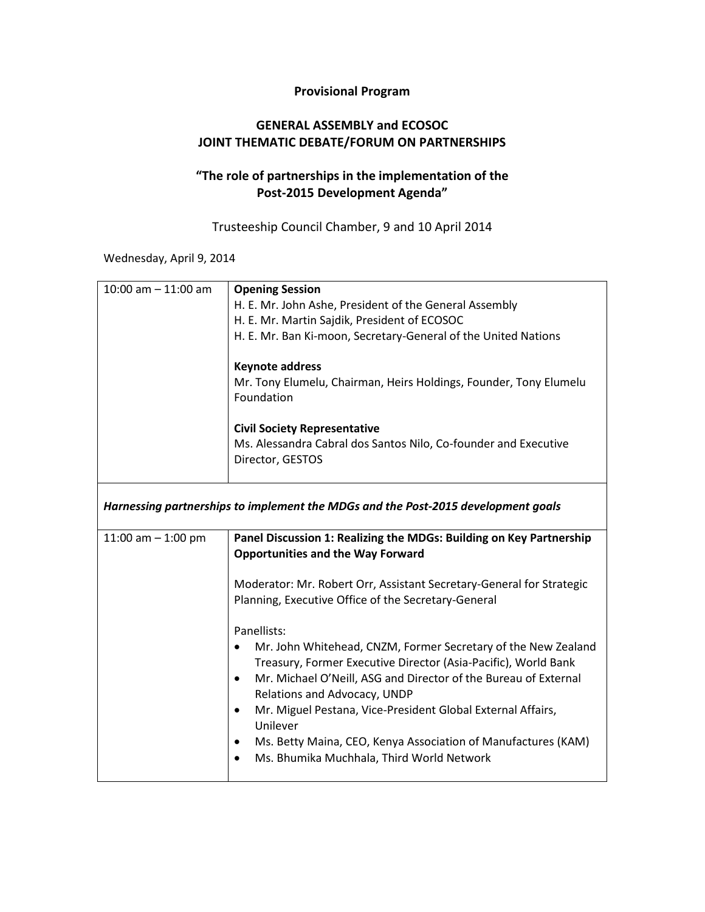## **Provisional Program**

## **GENERAL ASSEMBLY and ECOSOC JOINT THEMATIC DEBATE/FORUM ON PARTNERSHIPS**

## **"The role of partnerships in the implementation of the Post-2015 Development Agenda"**

Trusteeship Council Chamber, 9 and 10 April 2014

Wednesday, April 9, 2014

| 10:00 am $-$ 11:00 am | <b>Opening Session</b>                                                                                                               |
|-----------------------|--------------------------------------------------------------------------------------------------------------------------------------|
|                       | H. E. Mr. John Ashe, President of the General Assembly                                                                               |
|                       | H. E. Mr. Martin Sajdik, President of ECOSOC                                                                                         |
|                       | H. E. Mr. Ban Ki-moon, Secretary-General of the United Nations                                                                       |
|                       |                                                                                                                                      |
|                       | <b>Keynote address</b>                                                                                                               |
|                       | Mr. Tony Elumelu, Chairman, Heirs Holdings, Founder, Tony Elumelu                                                                    |
|                       | Foundation                                                                                                                           |
|                       |                                                                                                                                      |
|                       | <b>Civil Society Representative</b>                                                                                                  |
|                       | Ms. Alessandra Cabral dos Santos Nilo, Co-founder and Executive                                                                      |
|                       | Director, GESTOS                                                                                                                     |
|                       |                                                                                                                                      |
|                       | Harnessing partnerships to implement the MDGs and the Post-2015 development goals                                                    |
|                       |                                                                                                                                      |
|                       |                                                                                                                                      |
| 11:00 am $-$ 1:00 pm  | Panel Discussion 1: Realizing the MDGs: Building on Key Partnership                                                                  |
|                       | <b>Opportunities and the Way Forward</b>                                                                                             |
|                       |                                                                                                                                      |
|                       | Moderator: Mr. Robert Orr, Assistant Secretary-General for Strategic                                                                 |
|                       | Planning, Executive Office of the Secretary-General                                                                                  |
|                       |                                                                                                                                      |
|                       | Panellists:                                                                                                                          |
|                       | Mr. John Whitehead, CNZM, Former Secretary of the New Zealand                                                                        |
|                       | Treasury, Former Executive Director (Asia-Pacific), World Bank                                                                       |
|                       | Mr. Michael O'Neill, ASG and Director of the Bureau of External<br>$\bullet$                                                         |
|                       | Relations and Advocacy, UNDP                                                                                                         |
|                       | Mr. Miguel Pestana, Vice-President Global External Affairs,<br>$\bullet$                                                             |
|                       | Unilever                                                                                                                             |
|                       | Ms. Betty Maina, CEO, Kenya Association of Manufactures (KAM)<br>$\bullet$<br>Ms. Bhumika Muchhala, Third World Network<br>$\bullet$ |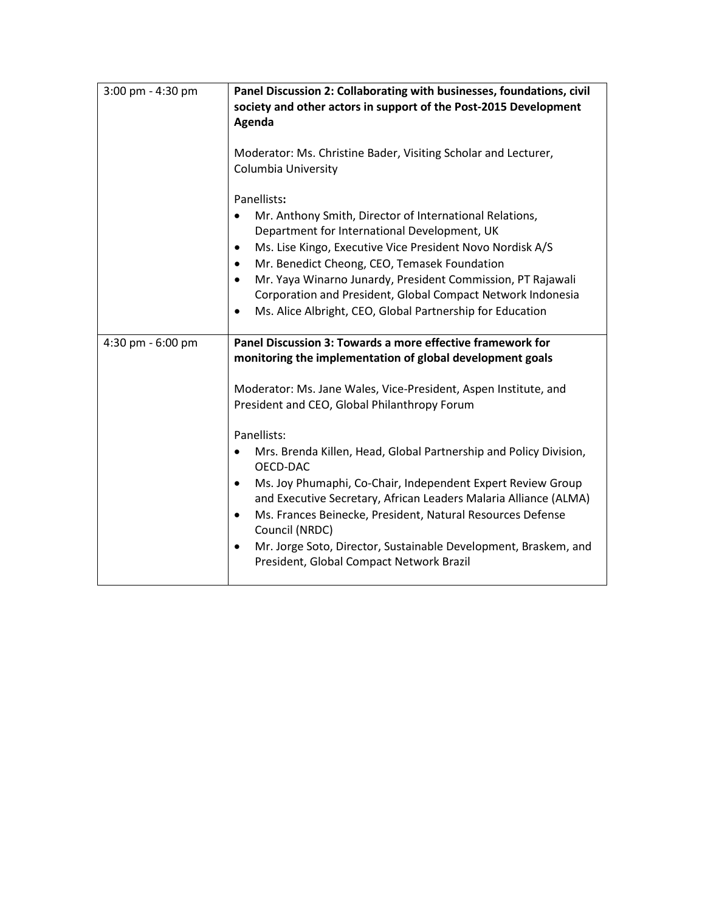| 3:00 pm - 4:30 pm | Panel Discussion 2: Collaborating with businesses, foundations, civil<br>society and other actors in support of the Post-2015 Development<br>Agenda                                                                                                                                                                                                                                                                                                                   |
|-------------------|-----------------------------------------------------------------------------------------------------------------------------------------------------------------------------------------------------------------------------------------------------------------------------------------------------------------------------------------------------------------------------------------------------------------------------------------------------------------------|
|                   | Moderator: Ms. Christine Bader, Visiting Scholar and Lecturer,<br>Columbia University                                                                                                                                                                                                                                                                                                                                                                                 |
|                   | Panellists:<br>Mr. Anthony Smith, Director of International Relations,<br>Department for International Development, UK<br>Ms. Lise Kingo, Executive Vice President Novo Nordisk A/S<br>Mr. Benedict Cheong, CEO, Temasek Foundation<br>Mr. Yaya Winarno Junardy, President Commission, PT Rajawali<br>$\bullet$<br>Corporation and President, Global Compact Network Indonesia<br>Ms. Alice Albright, CEO, Global Partnership for Education                           |
| 4:30 pm - 6:00 pm | Panel Discussion 3: Towards a more effective framework for<br>monitoring the implementation of global development goals                                                                                                                                                                                                                                                                                                                                               |
|                   | Moderator: Ms. Jane Wales, Vice-President, Aspen Institute, and<br>President and CEO, Global Philanthropy Forum                                                                                                                                                                                                                                                                                                                                                       |
|                   | Panellists:<br>Mrs. Brenda Killen, Head, Global Partnership and Policy Division,<br>OECD-DAC<br>Ms. Joy Phumaphi, Co-Chair, Independent Expert Review Group<br>$\bullet$<br>and Executive Secretary, African Leaders Malaria Alliance (ALMA)<br>Ms. Frances Beinecke, President, Natural Resources Defense<br>$\bullet$<br>Council (NRDC)<br>Mr. Jorge Soto, Director, Sustainable Development, Braskem, and<br>$\bullet$<br>President, Global Compact Network Brazil |